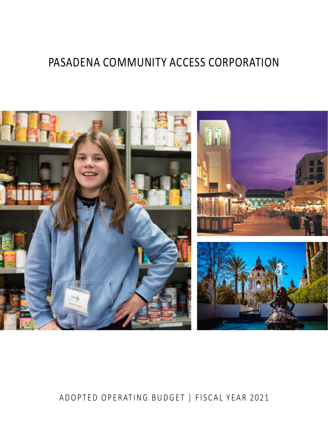# PASADENA COMMUNITY ACCESS CORPORATION



# ADOPTED OPERATING BUDGET | FISCAL YEAR 2021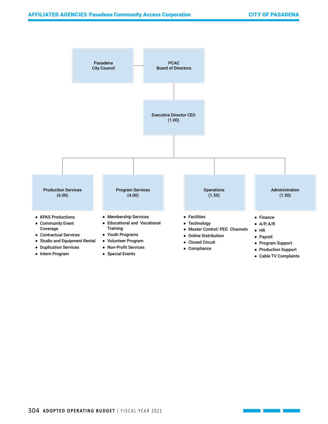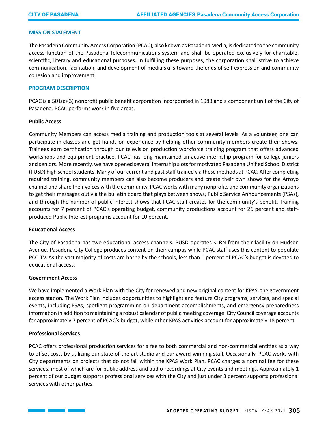#### **MISSION STATEMENT**

The Pasadena Community Access Corporation (PCAC), also known as Pasadena Media, is dedicated to the community access function of the Pasadena Telecommunications system and shall be operated exclusively for charitable, scientific, literary and educational purposes. In fulfilling these purposes, the corporation shall strive to achieve communication, facilitation, and development of media skills toward the ends of self-expression and community cohesion and improvement.

#### **PROGRAM DESCRIPTION**

PCAC is a 501(c)(3) nonprofit public benefit corporation incorporated in 1983 and a component unit of the City of Pasadena. PCAC performs work in five areas.

#### **Public Access**

Community Members can access media training and production tools at several levels. As a volunteer, one can participate in classes and get hands-on experience by helping other community members create their shows. Trainees earn certification through our television production workforce training program that offers advanced workshops and equipment practice. PCAC has long maintained an active internship program for college juniors and seniors. More recently, we have opened several internship slots for motivated Pasadena Unified School District (PUSD) high school students. Many of our current and past staff trained via these methods at PCAC. After completing required training, community members can also become producers and create their own shows for the Arroyo channel and share their voices with the community. PCAC works with many nonprofits and community organizations to get their messages out via the bulletin board that plays between shows, Public Service Announcements (PSAs), and through the number of public interest shows that PCAC staff creates for the community's benefit. Training accounts for 7 percent of PCAC's operating budget, community productions account for 26 percent and staffproduced Public Interest programs account for 10 percent.

# **Educational Access**

The City of Pasadena has two educational access channels. PUSD operates KLRN from their facility on Hudson Avenue. Pasadena City College produces content on their campus while PCAC staff uses this content to populate PCC-TV. As the vast majority of costs are borne by the schools, less than 1 percent of PCAC's budget is devoted to educational access.

#### **Government Access**

We have implemented a Work Plan with the City for renewed and new original content for KPAS, the government access station. The Work Plan includes opportunities to highlight and feature City programs, services, and special events, including PSAs, spotlight programming on department accomplishments, and emergency preparedness information in addition to maintaining a robust calendar of public meeting coverage. City Council coverage accounts for approximately 7 percent of PCAC's budget, while other KPAS activities account for approximately 18 percent.

# **Professional Services**

PCAC offers professional production services for a fee to both commercial and non-commercial entities as a way to offset costs by utilizing our state-of-the-art studio and our award-winning staff. Occasionally, PCAC works with City departments on projects that do not fall within the KPAS Work Plan. PCAC charges a nominal fee for these services, most of which are for public address and audio recordings at City events and meetings. Approximately 1 percent of our budget supports professional services with the City and just under 3 percent supports professional services with other parties.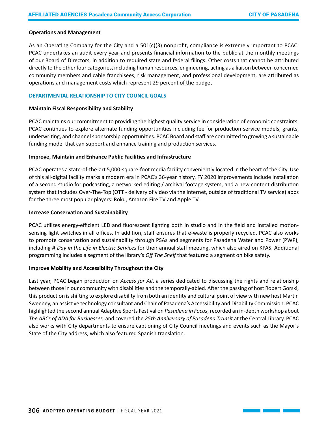#### **Operations and Management**

As an Operating Company for the City and a 501(c)(3) nonprofit, compliance is extremely important to PCAC. PCAC undertakes an audit every year and presents financial information to the public at the monthly meetings of our Board of Directors, in addition to required state and federal filings. Other costs that cannot be attributed directly to the other four categories, including human resources, engineering, acting as a liaison between concerned community members and cable franchisees, risk management, and professional development, are attributed as operations and management costs which represent 29 percent of the budget.

# **DEPARTMENTAL RELATIONSHIP TO CITY COUNCIL GOALS**

#### **Maintain Fiscal Responsibility and Stability**

PCAC maintains our commitment to providing the highest quality service in consideration of economic constraints. PCAC continues to explore alternate funding opportunities including fee for production service models, grants, underwriting, and channel sponsorship opportunities. PCAC Board and staff are committed to growing a sustainable funding model that can support and enhance training and production services.

# **Improve, Maintain and Enhance Public Facilities and Infrastructure**

PCAC operates a state-of-the-art 5,000-square-foot media facility conveniently located in the heart of the City. Use of this all-digital facility marks a modern era in PCAC's 36-year history. FY 2020 improvements include installation of a second studio for podcasting, a networked editing / archival footage system, and a new content distribution system that includes Over-The-Top (OTT - delivery of video via the internet, outside of traditional TV service) apps for the three most popular players: Roku, Amazon Fire TV and Apple TV.

# **Increase Conservation and Sustainability**

PCAC utilizes energy-efficient LED and fluorescent lighting both in studio and in the field and installed motionsensing light switches in all offices. In addition, staff ensures that e-waste is properly recycled. PCAC also works to promote conservation and sustainability through PSAs and segments for Pasadena Water and Power (PWP), including *A Day in the Life in Electric Services* for their annual staff meeting, which also aired on KPAS. Additional programming includes a segment of the library's *Off The Shelf* that featured a segment on bike safety.

# **Improve Mobility and Accessibility Throughout the City**

Last year, PCAC began production on *Access for All*, a series dedicated to discussing the rights and relationship between those in our community with disabilities and the temporally-abled. After the passing of host Robert Gorski, this production is shifting to explore disability from both an identity and cultural point of view with new host Martin Sweeney, an assistive technology consultant and Chair of Pasadena's Accessibility and Disability Commission. PCAC highlighted the second annual Adaptive Sports Festival on *Pasadena in Focus*, recorded an in-depth workshop about *The ABCs of ADA for Businesses,* and covered the *25th Anniversary of Pasadena Transit* at the Central Library. PCAC also works with City departments to ensure captioning of City Council meetings and events such as the Mayor's State of the City address, which also featured Spanish translation.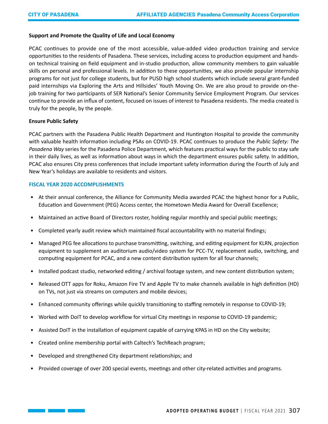#### **Support and Promote the Quality of Life and Local Economy**

PCAC continues to provide one of the most accessible, value-added video production training and service opportunities to the residents of Pasadena. These services, including access to production equipment and handson technical training on field equipment and in-studio production, allow community members to gain valuable skills on personal and professional levels. In addition to these opportunities, we also provide popular internship programs for not just for college students, but for PUSD high school students which include several grant-funded paid internships via Exploring the Arts and Hillsides' Youth Moving On. We are also proud to provide on-thejob training for two participants of SER National's Senior Community Service Employment Program. Our services continue to provide an influx of content, focused on issues of interest to Pasadena residents. The media created is truly for the people, by the people.

#### **Ensure Public Safety**

**Contract Contract** 

PCAC partners with the Pasadena Public Health Department and Huntington Hospital to provide the community with valuable health information including PSAs on COVID-19. PCAC continues to produce the *Public Safety: The Pasadena Way* series for the Pasadena Police Department, which features practical ways for the public to stay safe in their daily lives, as well as information about ways in which the department ensures public safety. In addition, PCAC also ensures City press conferences that include important safety information during the Fourth of July and New Year's holidays are available to residents and visitors.

#### **FISCAL YEAR 2020 ACCOMPLISHMENTS**

- At their annual conference, the Alliance for Community Media awarded PCAC the highest honor for a Public, Education and Government (PEG) Access center, the Hometown Media Award for Overall Excellence;
- Maintained an active Board of Directors roster, holding regular monthly and special public meetings;
- Completed yearly audit review which maintained fiscal accountability with no material findings;
- Managed PEG fee allocations to purchase transmitting, switching, and editing equipment for KLRN, projection equipment to supplement an auditorium audio/video system for PCC-TV, replacement audio, switching, and computing equipment for PCAC, and a new content distribution system for all four channels;
- Installed podcast studio, networked editing / archival footage system, and new content distribution system;
- Released OTT apps for Roku, Amazon Fire TV and Apple TV to make channels available in high definition (HD) on TVs, not just via streams on computers and mobile devices;
- Enhanced community offerings while quickly transitioning to staffing remotely in response to COVID-19;
- Worked with DoIT to develop workflow for virtual City meetings in response to COVID-19 pandemic;
- Assisted DoIT in the installation of equipment capable of carrying KPAS in HD on the City website;
- Created online membership portal with Caltech's TechReach program;
- Developed and strengthened City department relationships; and
- Provided coverage of over 200 special events, meetings and other city-related activities and programs.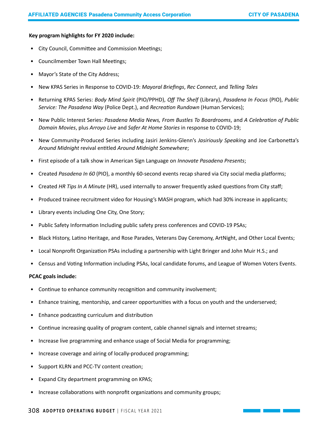#### **Key program highlights for FY 2020 include:**

- City Council, Committee and Commission Meetings;
- Councilmember Town Hall Meetings;
- Mayor's State of the City Address;
- New KPAS Series in Response to COVID-19: *Mayoral Briefings*, *Rec Connect*, and *Telling Tales*
- Returning KPAS Series: *Body Mind Spirit* (PIO/PPHD), *Off The Shelf* (Library), *Pasadena In Focus* (PIO), *Public Service: The Pasadena Way* (Police Dept.), and *Recreation Rundown* (Human Services);
- New Public Interest Series: *Pasadena Media News, From Bustles To Boardrooms*, and *A Celebration of Public Domain Movies*, plus *Arroyo Live* and *Safer At Home Stories* in response to COVID-19;
- New Community-Produced Series including Jasiri Jenkins-Glenn's *Jasiriously Speaking* and Joe Carbonetta's *Around Midnight* revival entitled *Around Midnight Somewhere*;
- First episode of a talk show in American Sign Language on *Innovate Pasadena Presents*;
- Created *Pasadena In 60* (PIO), a monthly 60-second events recap shared via City social media platforms;
- Created *HR Tips In A Minute* (HR), used internally to answer frequently asked questions from City staff;
- Produced trainee recruitment video for Housing's MASH program, which had 30% increase in applicants;
- Library events including One City, One Story;
- Public Safety Information Including public safety press conferences and COVID-19 PSAs;
- Black History, Latino Heritage, and Rose Parades, Veterans Day Ceremony, ArtNight, and Other Local Events;
- Local Nonprofit Organization PSAs including a partnership with Light Bringer and John Muir H.S.; and
- Census and Voting Information including PSAs, local candidate forums, and League of Women Voters Events.

# **PCAC goals include:**

- Continue to enhance community recognition and community involvement;
- Enhance training, mentorship, and career opportunities with a focus on youth and the underserved;
- Enhance podcasting curriculum and distribution
- Continue increasing quality of program content, cable channel signals and internet streams;
- Increase live programming and enhance usage of Social Media for programming;
- Increase coverage and airing of locally-produced programming;
- Support KLRN and PCC-TV content creation;
- Expand City department programming on KPAS;
- Increase collaborations with nonprofit organizations and community groups;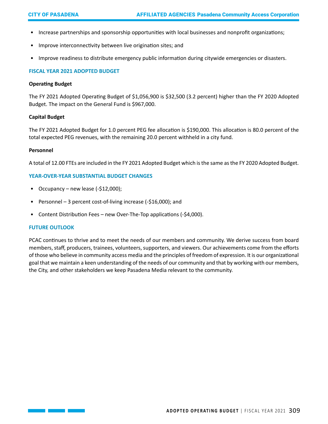- Increase partnerships and sponsorship opportunities with local businesses and nonprofit organizations;
- Improve interconnectivity between live origination sites; and
- Improve readiness to distribute emergency public information during citywide emergencies or disasters.

# **FISCAL YEAR 2021 ADOPTED BUDGET**

#### **Operating Budget**

The FY 2021 Adopted Operating Budget of \$1,056,900 is \$32,500 (3.2 percent) higher than the FY 2020 Adopted Budget. The impact on the General Fund is \$967,000.

#### **Capital Budget**

The FY 2021 Adopted Budget for 1.0 percent PEG fee allocation is \$190,000. This allocation is 80.0 percent of the total expected PEG revenues, with the remaining 20.0 percent withheld in a city fund.

#### **Personnel**

A total of 12.00 FTEs are included in the FY 2021 Adopted Budget which is the same as the FY 2020 Adopted Budget.

#### **YEAR-OVER-YEAR SUBSTANTIAL BUDGET CHANGES**

- Occupancy new lease  $(-\frac{2}{3}12,000)$ ;
- Personnel 3 percent cost-of-living increase (-\$16,000); and
- Content Distribution Fees new Over-The-Top applications (-\$4,000).

#### **FUTURE OUTLOOK**

PCAC continues to thrive and to meet the needs of our members and community. We derive success from board members, staff, producers, trainees, volunteers, supporters, and viewers. Our achievements come from the efforts of those who believe in community access media and the principles of freedom of expression. It is our organizational goal that we maintain a keen understanding of the needs of our community and that by working with our members, the City, and other stakeholders we keep Pasadena Media relevant to the community.